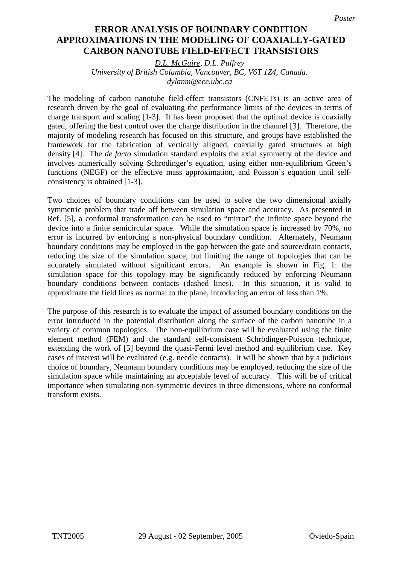## **Error Analysis of Boundary Condition Approximations in the Modeling of Coaxially-APPROXIMATIONS IN THE MODELING OF COAXIALLY-GATED Gated Carbon Nanotube Field-Effect Transistors CARBON NANOTUBE FIELD-EFFECT TRANSISTORSERROR ANALYSIS OF BOUNDARY CONDITION**

*D.L. McGuire, D.L. Pulfrey University of British Columbia, Vancouver, BC, V6T 1Z4, Canada. dylanm@ece.ubc.ca* 

The modeling of carbon nanotube field-effect transistors (CNFETs) is an active area of research driven by the goal of evaluating the performance limits of the devices in terms of charge transport and scaling [1-3]. It has been proposed that the optimal device is coaxially gated, offering the best control over the charge distribution in the channel [3]. Therefore, the majority of modeling research has focused on this structure, and groups have established the framework for the fabrication of vertically aligned, coaxially gated structures at high density [4]. The *de facto* simulation standard exploits the axial symmetry of the device and involves numerically solving Schrödinger's equation, using either non-equilibrium Green's functions (NEGF) or the effective mass approximation, and Poisson's equation until selfconsistency is obtained [1-3].

Two choices of boundary conditions can be used to solve the two dimensional axially symmetric problem that trade off between simulation space and accuracy. As presented in Ref. [5], a conformal transformation can be used to "mirror" the infinite space beyond the device into a finite semicircular space. While the simulation space is increased by 70%, no error is incurred by enforcing a non-physical boundary condition. Alternately, Neumann boundary conditions may be employed in the gap between the gate and source/drain contacts, reducing the size of the simulation space, but limiting the range of topologies that can be accurately simulated without significant errors. An example is shown in Fig. 1: the simulation space for this topology may be significantly reduced by enforcing Neumann boundary conditions between contacts (dashed lines). In this situation, it is valid to approximate the field lines as normal to the plane, introducing an error of less than 1%.

The purpose of this research is to evaluate the impact of assumed boundary conditions on the error introduced in the potential distribution along the surface of the carbon nanotube in a variety of common topologies. The non-equilibrium case will be evaluated using the finite element method (FEM) and the standard self-consistent Schrödinger-Poisson technique, extending the work of [5] beyond the quasi-Fermi level method and equilibrium case. Key cases of interest will be evaluated (e.g. needle contacts). It will be shown that by a judicious choice of boundary, Neumann boundary conditions may be employed, reducing the size of the simulation space while maintaining an acceptable level of accuracy. This will be of critical importance when simulating non-symmetric devices in three dimensions, where no conformal transform exists.